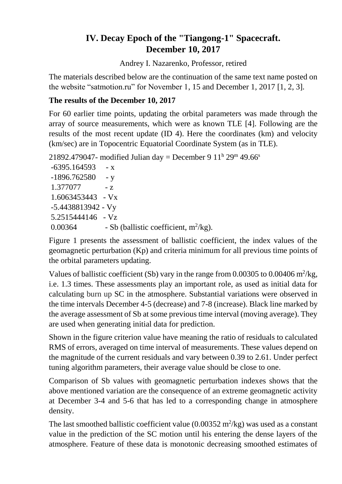# **IV. Decay Epoch of the "Tiangong-1" Spacecraft. December 10, 2017**

Andrey I. Nazarenko, Professor, retired

The materials described below are the continuation of the same text name posted on the website "satmotion.ru" for November 1, 15 and December 1, 2017 [1, 2, 3].

## **The results of the December 10, 2017**

For 60 earlier time points, updating the orbital parameters was made through the array of source measurements, which were as known TLE [4]. Following are the results of the most recent update (ID 4). Here the coordinates (km) and velocity (km/sec) are in Topocentric Equatorial Coordinate System (as in TLE).

```
21892.479047- modified Julian day = December 9 11^{\text{h}} 29<sup>m</sup> 49.66<sup>s</sup>
```

```
-6395.164593 - x-1896.762580 - y1.377077 - z1.6063453443 - Vx
-5.4438813942 - Vy
5.2515444146 - Vz
0.00364 - Sb (ballistic coefficient, m<sup>2</sup>/kg).
```
Figure 1 presents the assessment of ballistic coefficient, the index values of the geomagnetic perturbation (Kp) and criteria minimum for all previous time points of the orbital parameters updating.

Values of ballistic coefficient (Sb) vary in the range from  $0.00305$  to  $0.00406$  m<sup>2</sup>/kg, i.e. 1.3 times. These assessments play an important role, as used as initial data for calculating burn up SC in the atmosphere. Substantial variations were observed in the time intervals December 4-5 (decrease) and 7-8 (increase). Black line marked by the average assessment of Sb at some previous time interval (moving average). They are used when generating initial data for prediction.

Shown in the figure criterion value have meaning the ratio of residuals to calculated RMS of errors, averaged on time interval of measurements. These values depend on the magnitude of the current residuals and vary between 0.39 to 2.61. Under perfect tuning algorithm parameters, their average value should be close to one.

Comparison of Sb values with geomagnetic perturbation indexes shows that the above mentioned variation are the consequence of an extreme geomagnetic activity at December 3-4 and 5-6 that has led to a corresponding change in atmosphere density.

The last smoothed ballistic coefficient value  $(0.00352 \text{ m}^2/\text{kg})$  was used as a constant value in the prediction of the SC motion until his entering the dense layers of the atmosphere. Feature of these data is monotonic decreasing smoothed estimates of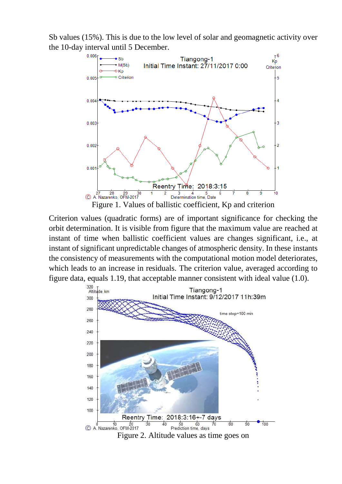Sb values (15%). This is due to the low level of solar and geomagnetic activity over the 10-day interval until 5 December.



Criterion values (quadratic forms) are of important significance for checking the orbit determination. It is visible from figure that the maximum value are reached at instant of time when ballistic coefficient values are changes significant, i.e., at instant of significant unpredictable changes of atmospheric density. In these instants the consistency of measurements with the computational motion model deteriorates, which leads to an increase in residuals. The criterion value, averaged according to figure data, equals 1.19, that acceptable manner consistent with ideal value (1.0).<br> $\frac{320}{\text{Atitulge, km}}$ 



Figure 2. Altitude values as time goes on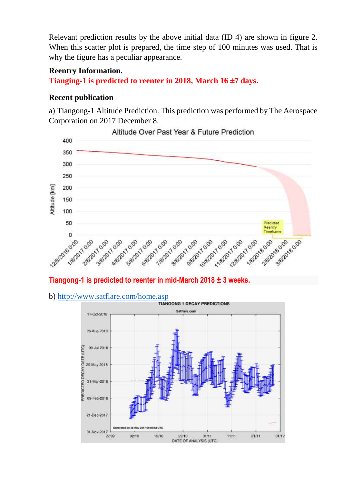Relevant prediction results by the above initial data (ID 4) are shown in figure 2. When this scatter plot is prepared, the time step of 100 minutes was used. That is why the figure has a peculiar appearance.

#### **Reentry Information.**

**Tianging-1 is predicted to reenter in 2018, March 16 ±7 days.**

## **Recent publication**

a) Tiangong-1 Altitude Prediction. This prediction was performed by The Aerospace Corporation on 2017 December 8.



Altitude Over Past Year & Future Prediction

### **Tiangong-1 is predicted to reenter in mid-March 2018 ± 3 weeks.**

b)<http://www.satflare.com/home.asp><br>TIANGONG 1 DECAY PREDICTIONS